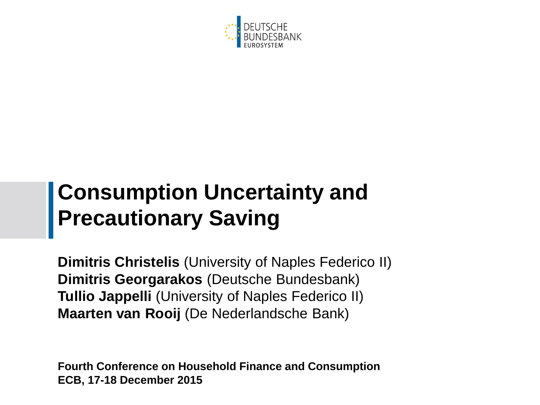

### **Consumption Uncertainty and Precautionary Saving**

**Dimitris Christelis** (University of Naples Federico II) **Dimitris Georgarakos** (Deutsche Bundesbank) **Tullio Jappelli** (University of Naples Federico II) **Maarten van Rooij** (De Nederlandsche Bank)

**Fourth Conference on Household Finance and Consumption ECB, 17-18 December 2015**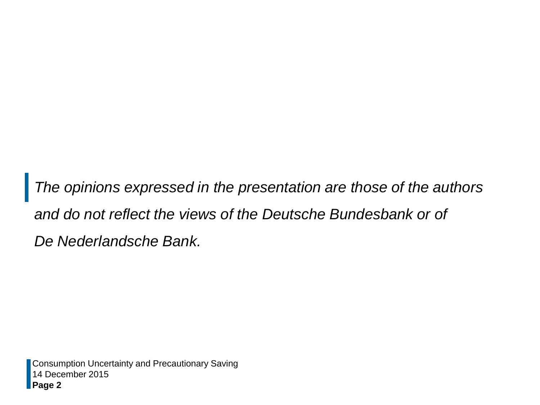*The opinions expressed in the presentation are those of the authors and do not reflect the views of the Deutsche Bundesbank or of De Nederlandsche Bank.*

14 December 2015 **Page 2** Consumption Uncertainty and Precautionary Saving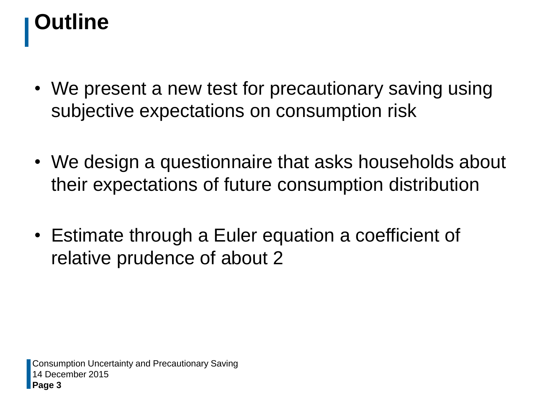# **Outline**

- We present a new test for precautionary saving using subjective expectations on consumption risk
- We design a questionnaire that asks households about their expectations of future consumption distribution
- Estimate through a Euler equation a coefficient of relative prudence of about 2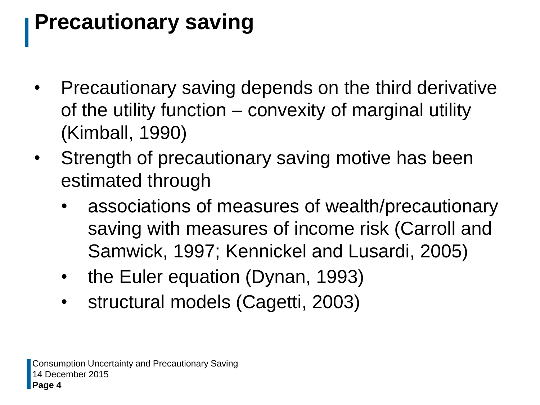## **Precautionary saving**

- Precautionary saving depends on the third derivative of the utility function – convexity of marginal utility (Kimball, 1990)
- Strength of precautionary saving motive has been estimated through
	- associations of measures of wealth/precautionary saving with measures of income risk (Carroll and Samwick, 1997; Kennickel and Lusardi, 2005)
	- the Euler equation (Dynan, 1993)
	- structural models (Cagetti, 2003)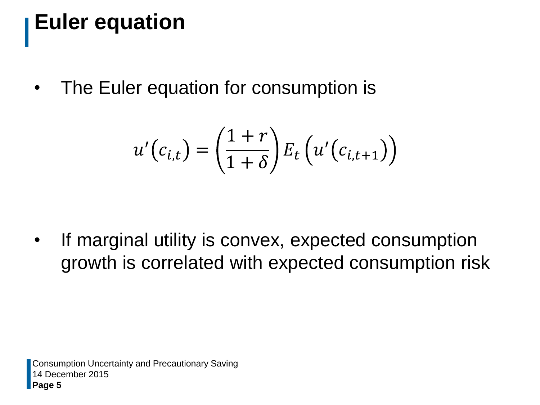## **Euler equation**

• The Euler equation for consumption is

$$
u'(c_{i,t}) = \left(\frac{1+r}{1+\delta}\right) E_t\left(u'(c_{i,t+1})\right)
$$

If marginal utility is convex, expected consumption growth is correlated with expected consumption risk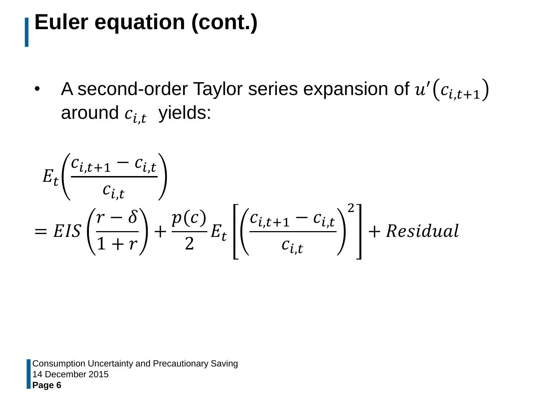## **Euler equation (cont.)**

• A second-order Taylor series expansion of  $u'(c_{i,t+1})$ around  $c_{i,t}$  yields:

$$
E_t \left( \frac{c_{i,t+1} - c_{i,t}}{c_{i,t}} \right)
$$
  
= 
$$
EIS \left( \frac{r - \delta}{1 + r} \right) + \frac{p(c)}{2} E_t \left[ \left( \frac{c_{i,t+1} - c_{i,t}}{c_{i,t}} \right)^2 \right] + Residual
$$

14 December 2015 **Page 6** Consumption Uncertainty and Precautionary Saving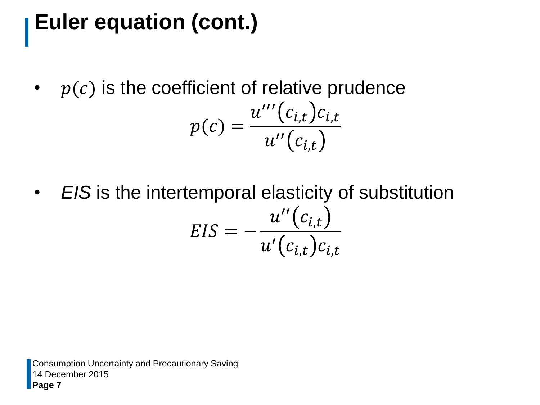## **Euler equation (cont.)**

•  $p(c)$  is the coefficient of relative prudence

$$
p(c) = \frac{u'''(c_{i,t})c_{i,t}}{u''(c_{i,t})}
$$

• *EIS* is the intertemporal elasticity of substitution  $EIS =$  $u^{\prime\prime}\big(c_{i,t}$  $u^{\prime}\big(c_{i, t}\big)c_{i, t}$ 

14 December 2015 **Page 7** Consumption Uncertainty and Precautionary Saving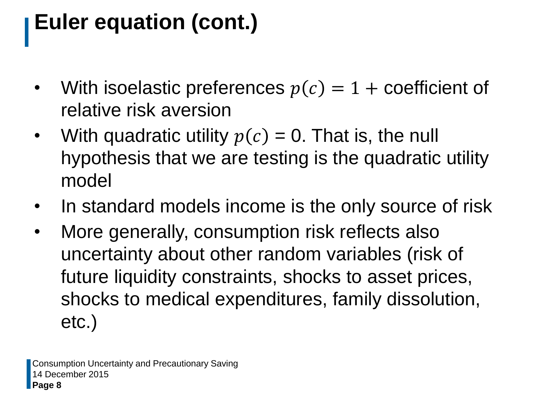## **Euler equation (cont.)**

- With isoelastic preferences  $p(c) = 1 +$  coefficient of relative risk aversion
- With quadratic utility  $p(c) = 0$ . That is, the null hypothesis that we are testing is the quadratic utility model
- In standard models income is the only source of risk
- More generally, consumption risk reflects also uncertainty about other random variables (risk of future liquidity constraints, shocks to asset prices, shocks to medical expenditures, family dissolution, etc.)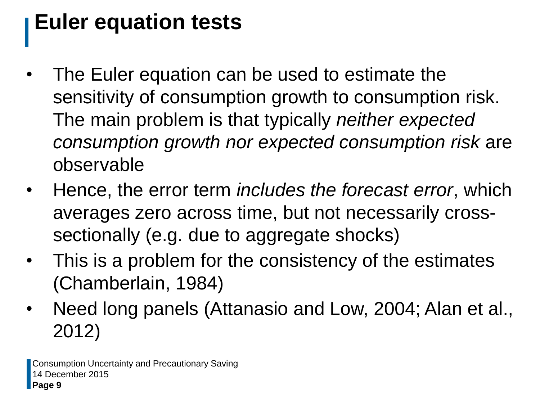## **Euler equation tests**

- The Euler equation can be used to estimate the sensitivity of consumption growth to consumption risk. The main problem is that typically *neither expected consumption growth nor expected consumption risk* are observable
- Hence, the error term *includes the forecast error*, which averages zero across time, but not necessarily crosssectionally (e.g. due to aggregate shocks)
- This is a problem for the consistency of the estimates (Chamberlain, 1984)
- Need long panels (Attanasio and Low, 2004; Alan et al., 2012)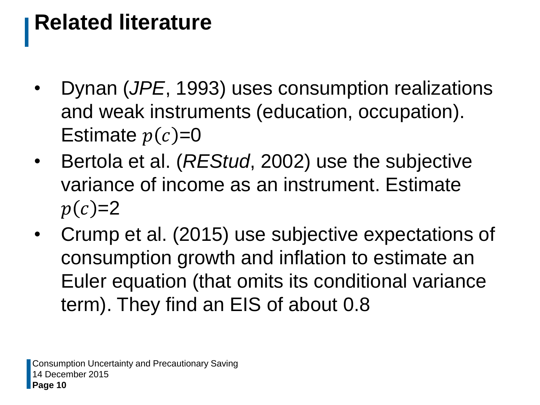## **Related literature**

- Dynan (*JPE*, 1993) uses consumption realizations and weak instruments (education, occupation). Estimate  $p(c)=0$
- Bertola et al. (*REStud*, 2002) use the subjective variance of income as an instrument. Estimate  $p(c)=2$
- Crump et al. (2015) use subjective expectations of consumption growth and inflation to estimate an Euler equation (that omits its conditional variance term). They find an EIS of about 0.8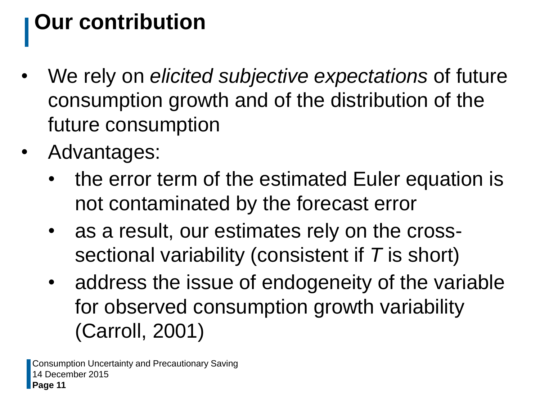## **Our contribution**

- We rely on *elicited subjective expectations* of future consumption growth and of the distribution of the future consumption
- Advantages:
	- the error term of the estimated Euler equation is not contaminated by the forecast error
	- as a result, our estimates rely on the crosssectional variability (consistent if *T* is short)
	- address the issue of endogeneity of the variable for observed consumption growth variability (Carroll, 2001)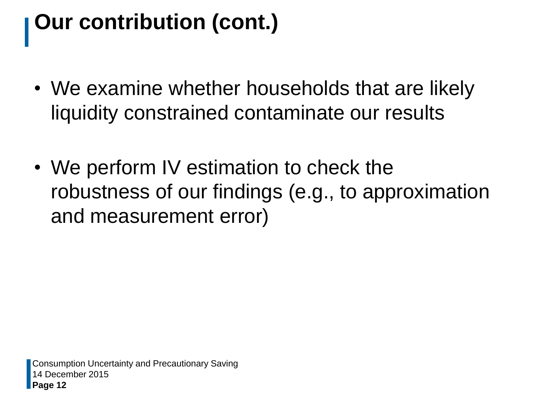# **Our contribution (cont.)**

- We examine whether households that are likely liquidity constrained contaminate our results
- We perform IV estimation to check the robustness of our findings (e.g., to approximation and measurement error)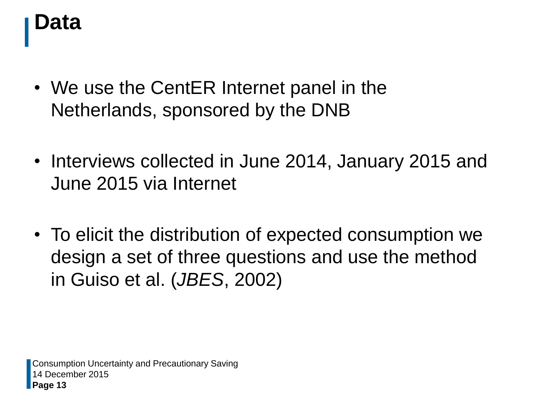#### **Data**

- We use the CentER Internet panel in the Netherlands, sponsored by the DNB
- Interviews collected in June 2014, January 2015 and June 2015 via Internet
- To elicit the distribution of expected consumption we design a set of three questions and use the method in Guiso et al. (*JBES*, 2002)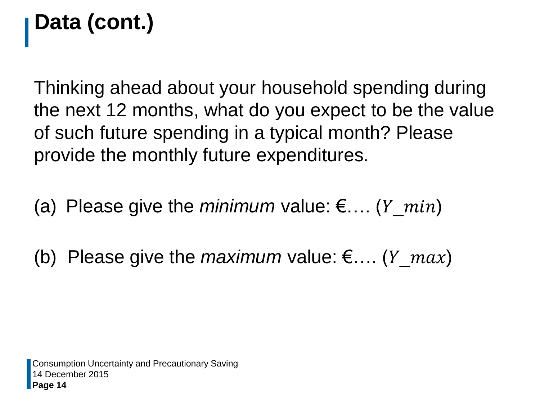Thinking ahead about your household spending during the next 12 months, what do you expect to be the value of such future spending in a typical month? Please provide the monthly future expenditures.

(a) Please give the *minimum* value:  $\epsilon$ .... (*Y\_min*)

(b) Please give the *maximum* value:  $\epsilon$ .... ( $Y_{max}$ )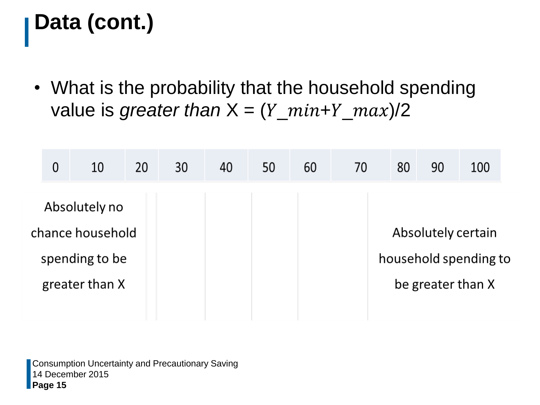• What is the probability that the household spending value is *greater than*  $X = (Y\_min+Y\_max)/2$ 

|                | $\overline{0}$ | 10               | 20 | 30 | 40 | 50 | 60 | 70 | 80 | 90                 | 100                   |  |
|----------------|----------------|------------------|----|----|----|----|----|----|----|--------------------|-----------------------|--|
|                |                | Absolutely no    |    |    |    |    |    |    |    |                    |                       |  |
|                |                | chance household |    |    |    |    |    |    |    | Absolutely certain |                       |  |
| spending to be |                |                  |    |    |    |    |    |    |    |                    | household spending to |  |
|                |                | greater than X   |    |    |    |    |    |    |    | be greater than X  |                       |  |
|                |                |                  |    |    |    |    |    |    |    |                    |                       |  |

14 December 2015 **Page 15** Consumption Uncertainty and Precautionary Saving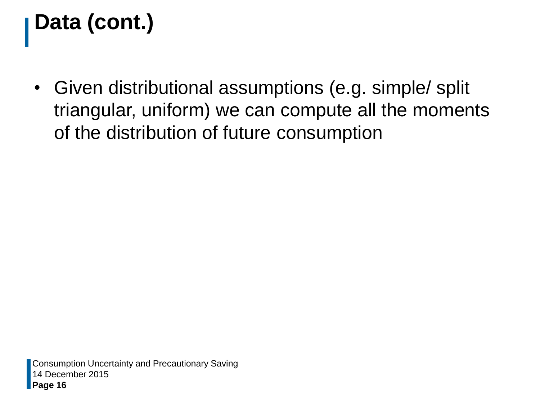• Given distributional assumptions (e.g. simple/ split triangular, uniform) we can compute all the moments of the distribution of future consumption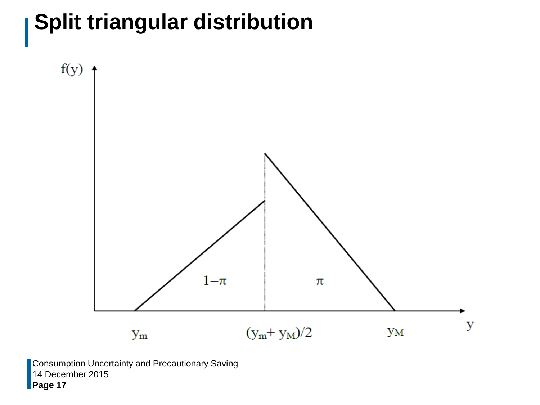## **Split triangular distribution**



14 December 2015 **Page 17** Consumption Uncertainty and Precautionary Saving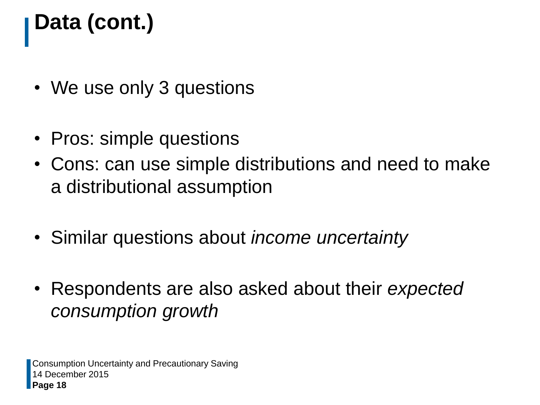- We use only 3 questions
- Pros: simple questions
- Cons: can use simple distributions and need to make a distributional assumption
- Similar questions about *income uncertainty*
- Respondents are also asked about their *expected consumption growth*

14 December 2015 **Page 18** Consumption Uncertainty and Precautionary Saving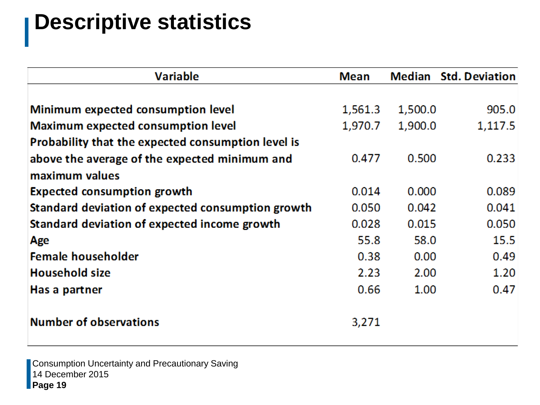### **Descriptive statistics**

| <b>Mean</b> | Median  | <b>Std. Deviation</b> |
|-------------|---------|-----------------------|
|             |         |                       |
| 1,561.3     | 1,500.0 | 905.0                 |
| 1,970.7     | 1,900.0 | 1,117.5               |
|             |         |                       |
| 0.477       | 0.500   | 0.233                 |
|             |         |                       |
| 0.014       | 0.000   | 0.089                 |
| 0.050       | 0.042   | 0.041                 |
| 0.028       | 0.015   | 0.050                 |
| 55.8        | 58.0    | 15.5                  |
| 0.38        | 0.00    | 0.49                  |
| 2.23        | 2.00    | 1.20                  |
| 0.66        | 1.00    | 0.47                  |
|             |         |                       |
| 3,271       |         |                       |
|             |         |                       |

14 December 2015 **Page 19** Consumption Uncertainty and Precautionary Saving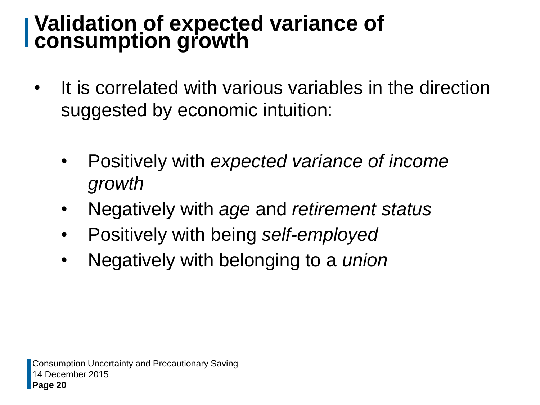#### **Validation of expected variance of consumption growth**

- It is correlated with various variables in the direction suggested by economic intuition:
	- Positively with *expected variance of income growth*
	- Negatively with *age* and *retirement status*
	- Positively with being *self-employed*
	- Negatively with belonging to a *union*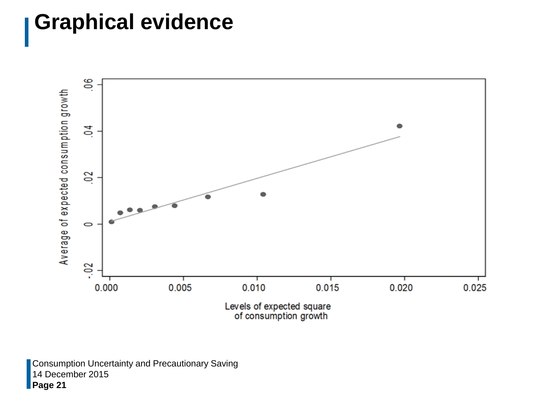#### **Graphical evidence**



14 December 2015 **Page 21** Consumption Uncertainty and Precautionary Saving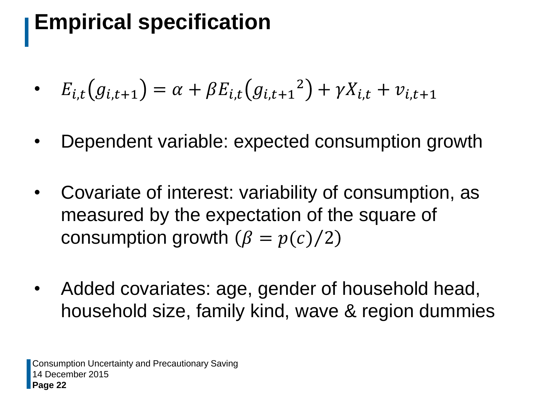## **Empirical specification**

• 
$$
E_{i,t}(g_{i,t+1}) = \alpha + \beta E_{i,t}(g_{i,t+1}^2) + \gamma X_{i,t} + \nu_{i,t+1}
$$

- Dependent variable: expected consumption growth
- Covariate of interest: variability of consumption, as measured by the expectation of the square of consumption growth  $(\beta = p(c)/2)$
- Added covariates: age, gender of household head, household size, family kind, wave & region dummies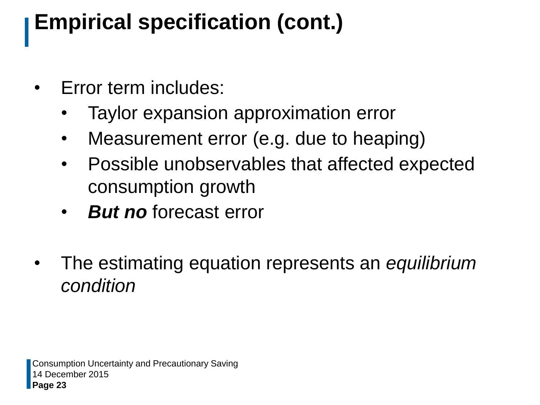## **Empirical specification (cont.)**

- Error term includes:
	- Taylor expansion approximation error
	- Measurement error (e.g. due to heaping)
	- Possible unobservables that affected expected consumption growth
	- **But no** forecast error
- The estimating equation represents an *equilibrium condition*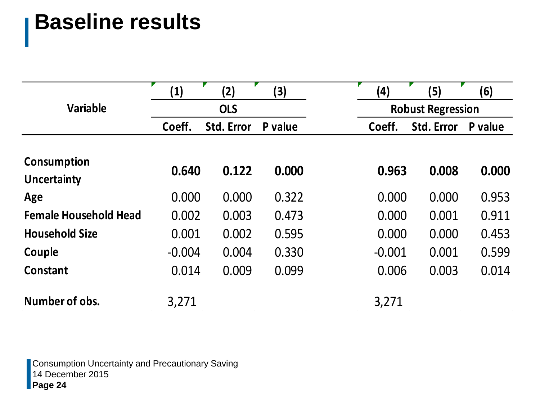### **Baseline results**

|                                          | $\left( 1\right)$ | (2)               | $\bf{(3)}$ | (4)                      | (5)               | (6)     |  |  |
|------------------------------------------|-------------------|-------------------|------------|--------------------------|-------------------|---------|--|--|
| <b>Variable</b>                          |                   | <b>OLS</b>        |            | <b>Robust Regression</b> |                   |         |  |  |
|                                          | Coeff.            | <b>Std. Error</b> | P value    | Coeff.                   | <b>Std. Error</b> | P value |  |  |
| <b>Consumption</b><br><b>Uncertainty</b> | 0.640             | 0.122             | 0.000      | 0.963                    | 0.008             | 0.000   |  |  |
| Age                                      | 0.000             | 0.000             | 0.322      | 0.000                    | 0.000             | 0.953   |  |  |
| <b>Female Household Head</b>             | 0.002             | 0.003             | 0.473      | 0.000                    | 0.001             | 0.911   |  |  |
| <b>Household Size</b>                    | 0.001             | 0.002             | 0.595      | 0.000                    | 0.000             | 0.453   |  |  |
| Couple                                   | $-0.004$          | 0.004             | 0.330      | $-0.001$                 | 0.001             | 0.599   |  |  |
| <b>Constant</b>                          | 0.014             | 0.009             | 0.099      | 0.006                    | 0.003             | 0.014   |  |  |
| Number of obs.                           | 3,271             |                   |            | 3,271                    |                   |         |  |  |

14 December 2015 **Page 24** Consumption Uncertainty and Precautionary Saving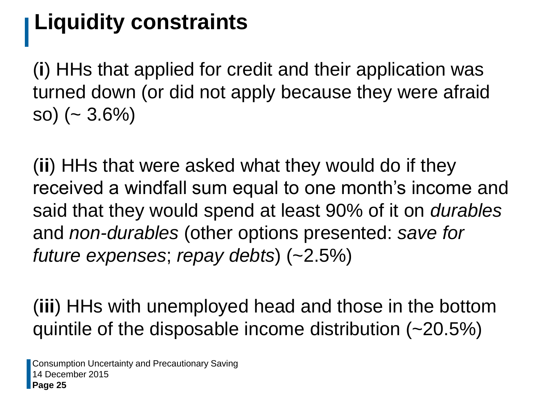## **Liquidity constraints**

(**i**) HHs that applied for credit and their application was turned down (or did not apply because they were afraid so) ( $\sim 3.6\%$ )

(**ii**) HHs that were asked what they would do if they received a windfall sum equal to one month's income and said that they would spend at least 90% of it on *durables* and *non-durables* (other options presented: *save for future expenses*; *repay debts*) (~2.5%)

(**iii**) HHs with unemployed head and those in the bottom quintile of the disposable income distribution (~20.5%)

14 December 2015 **Page 25** Consumption Uncertainty and Precautionary Saving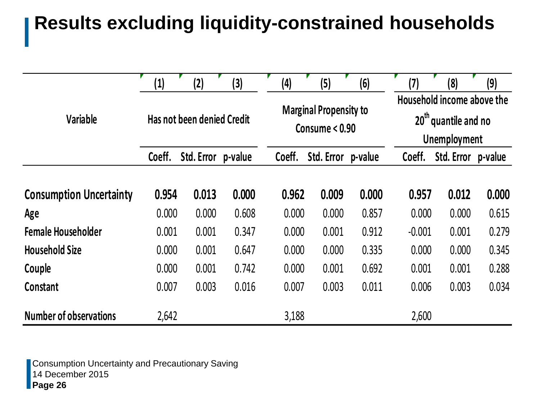#### **Results excluding liquidity-constrained households**

|                                | $\left( 1\right)$ | (2)                        | (3)   | (4)    | (5)                                             | (6)   | (7)                                                                                | (8)                | (9)   |  |
|--------------------------------|-------------------|----------------------------|-------|--------|-------------------------------------------------|-------|------------------------------------------------------------------------------------|--------------------|-------|--|
| Variable                       |                   | Has not been denied Credit |       |        | <b>Marginal Propensity to</b><br>Consume < 0.90 |       | Household income above the<br>20 <sup>th</sup><br>'quantile and no<br>Unemployment |                    |       |  |
|                                | Coeff.            | Std. Error p-value         |       | Coeff. | Std. Error p-value                              |       | Coeff.                                                                             | Std. Error p-value |       |  |
| <b>Consumption Uncertainty</b> | 0.954             | 0.013                      | 0.000 | 0.962  | 0.009                                           | 0.000 | 0.957                                                                              | 0.012              | 0.000 |  |
| Age                            | 0.000             | 0.000                      | 0.608 | 0.000  | 0.000                                           | 0.857 | 0.000                                                                              | 0.000              | 0.615 |  |
| <b>Female Householder</b>      | 0.001             | 0.001                      | 0.347 | 0.000  | 0.001                                           | 0.912 | $-0.001$                                                                           | 0.001              | 0.279 |  |
| <b>Household Size</b>          | 0.000             | 0.001                      | 0.647 | 0.000  | 0.000                                           | 0.335 | 0.000                                                                              | 0.000              | 0.345 |  |
| Couple                         | 0.000             | 0.001                      | 0.742 | 0.000  | 0.001                                           | 0.692 | 0.001                                                                              | 0.001              | 0.288 |  |
| Constant                       | 0.007             | 0.003                      | 0.016 | 0.007  | 0.003                                           | 0.011 | 0.006                                                                              | 0.003              | 0.034 |  |
| <b>Number of observations</b>  | 2,642             |                            |       | 3,188  |                                                 |       | 2,600                                                                              |                    |       |  |

14 December 2015 **Page 26** Consumption Uncertainty and Precautionary Saving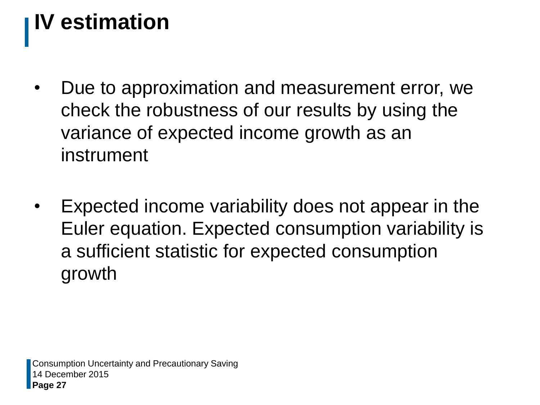# **IV estimation**

- Due to approximation and measurement error, we check the robustness of our results by using the variance of expected income growth as an instrument
- Expected income variability does not appear in the Euler equation. Expected consumption variability is a sufficient statistic for expected consumption growth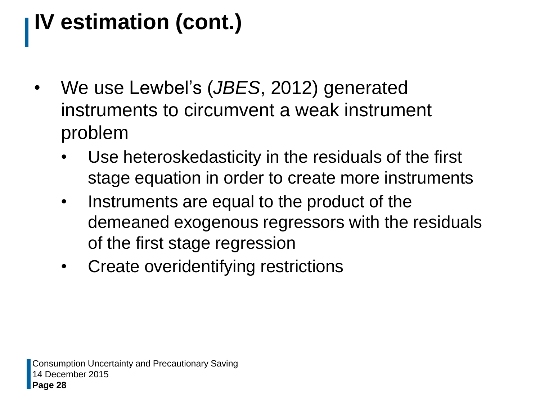# **IV estimation (cont.)**

- We use Lewbel's (*JBES*, 2012) generated instruments to circumvent a weak instrument problem
	- Use heteroskedasticity in the residuals of the first stage equation in order to create more instruments
	- Instruments are equal to the product of the demeaned exogenous regressors with the residuals of the first stage regression
	- Create overidentifying restrictions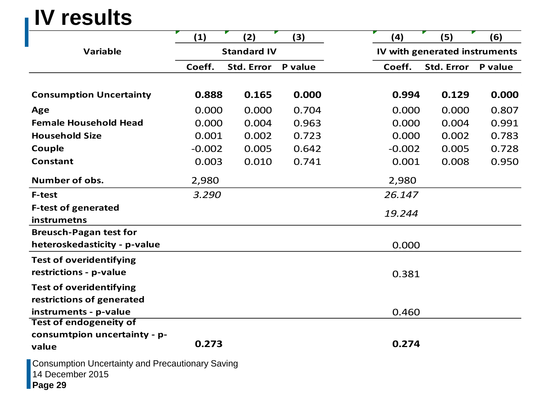### **IV results**

|                                                                                        | (1)      | (2)                | (3)     |  | (4)      | (5)                           | (6)     |  |  |
|----------------------------------------------------------------------------------------|----------|--------------------|---------|--|----------|-------------------------------|---------|--|--|
| <b>Variable</b>                                                                        |          | <b>Standard IV</b> |         |  |          | IV with generated instruments |         |  |  |
|                                                                                        | Coeff.   | <b>Std. Error</b>  | P value |  | Coeff.   | <b>Std. Error</b>             | P value |  |  |
|                                                                                        |          |                    |         |  |          |                               |         |  |  |
| <b>Consumption Uncertainty</b>                                                         | 0.888    | 0.165              | 0.000   |  | 0.994    | 0.129                         | 0.000   |  |  |
| Age                                                                                    | 0.000    | 0.000              | 0.704   |  | 0.000    | 0.000                         | 0.807   |  |  |
| <b>Female Household Head</b>                                                           | 0.000    | 0.004              | 0.963   |  | 0.000    | 0.004                         | 0.991   |  |  |
| <b>Household Size</b>                                                                  | 0.001    | 0.002              | 0.723   |  | 0.000    | 0.002                         | 0.783   |  |  |
| Couple                                                                                 | $-0.002$ | 0.005              | 0.642   |  | $-0.002$ | 0.005                         | 0.728   |  |  |
| <b>Constant</b>                                                                        | 0.003    | 0.010              | 0.741   |  | 0.001    | 0.008                         | 0.950   |  |  |
| Number of obs.                                                                         | 2,980    |                    |         |  | 2,980    |                               |         |  |  |
| <b>F-test</b>                                                                          | 3.290    |                    |         |  | 26.147   |                               |         |  |  |
| <b>F-test of generated</b>                                                             |          |                    |         |  | 19.244   |                               |         |  |  |
| instrumetns                                                                            |          |                    |         |  |          |                               |         |  |  |
| <b>Breusch-Pagan test for</b>                                                          |          |                    |         |  |          |                               |         |  |  |
| heteroskedasticity - p-value                                                           |          |                    |         |  | 0.000    |                               |         |  |  |
| <b>Test of overidentifying</b>                                                         |          |                    |         |  |          |                               |         |  |  |
| restrictions - p-value                                                                 |          |                    |         |  | 0.381    |                               |         |  |  |
| <b>Test of overidentifying</b>                                                         |          |                    |         |  |          |                               |         |  |  |
| restrictions of generated                                                              |          |                    |         |  |          |                               |         |  |  |
| instruments - p-value                                                                  |          |                    |         |  | 0.460    |                               |         |  |  |
| <b>Test of endogeneity of</b>                                                          |          |                    |         |  |          |                               |         |  |  |
| consumtpion uncertainty - p-<br>value                                                  | 0.273    |                    |         |  | 0.274    |                               |         |  |  |
| <b>Consumption Uncertainty and Precautionary Saving</b><br>14 December 2015<br>Page 29 |          |                    |         |  |          |                               |         |  |  |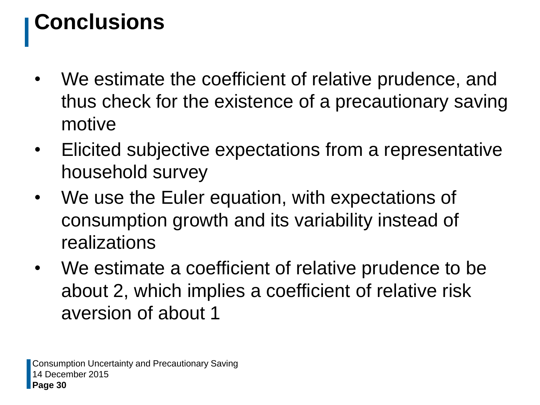## **Conclusions**

- We estimate the coefficient of relative prudence, and thus check for the existence of a precautionary saving motive
- Elicited subjective expectations from a representative household survey
- We use the Euler equation, with expectations of consumption growth and its variability instead of realizations
- We estimate a coefficient of relative prudence to be about 2, which implies a coefficient of relative risk aversion of about 1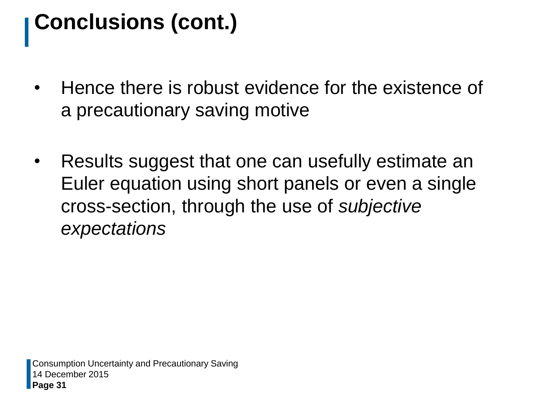## **Conclusions (cont.)**

- Hence there is robust evidence for the existence of a precautionary saving motive
- Results suggest that one can usefully estimate an Euler equation using short panels or even a single cross-section, through the use of *subjective expectations*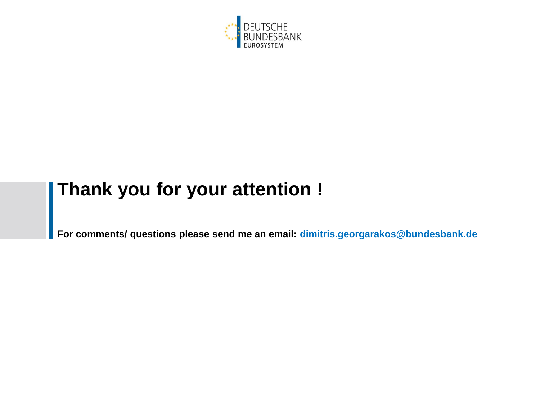

#### **Thank you for your attention !**

**For comments/ questions please send me an email: dimitris.georgarakos@bundesbank.de**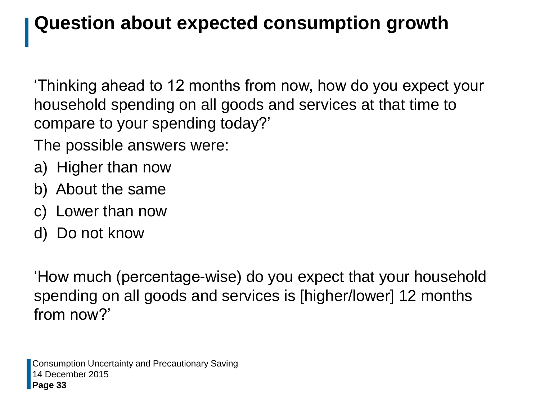#### **Question about expected consumption growth**

'Thinking ahead to 12 months from now, how do you expect your household spending on all goods and services at that time to compare to your spending today?'

The possible answers were:

- a) Higher than now
- b) About the same
- c) Lower than now
- d) Do not know

'How much (percentage-wise) do you expect that your household spending on all goods and services is [higher/lower] 12 months from now?'

14 December 2015 **Page 33** Consumption Uncertainty and Precautionary Saving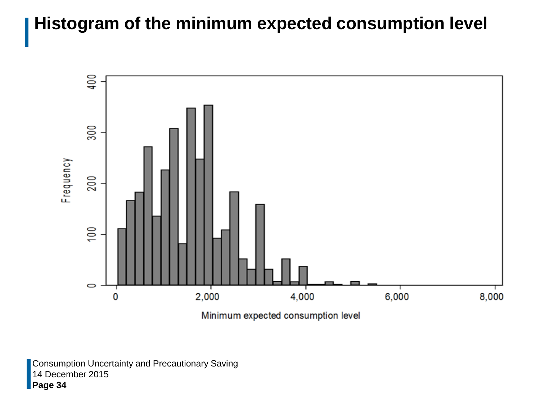#### **Histogram of the minimum expected consumption level**



14 December 2015 **Page 34** Consumption Uncertainty and Precautionary Saving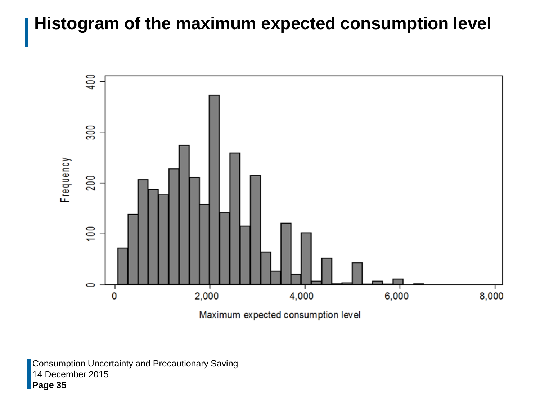#### **Histogram of the maximum expected consumption level**



14 December 2015 **Page 35** Consumption Uncertainty and Precautionary Saving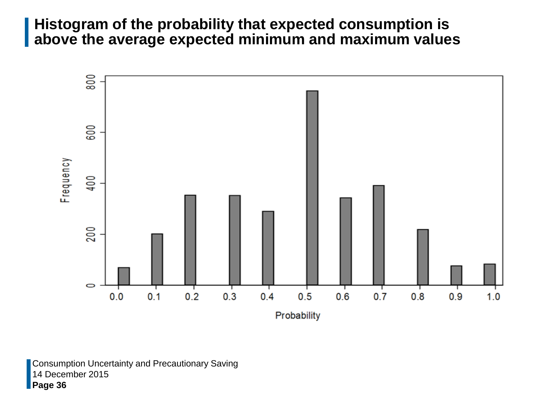#### **Histogram of the probability that expected consumption is above the average expected minimum and maximum values**



14 December 2015 **Page 36** Consumption Uncertainty and Precautionary Saving